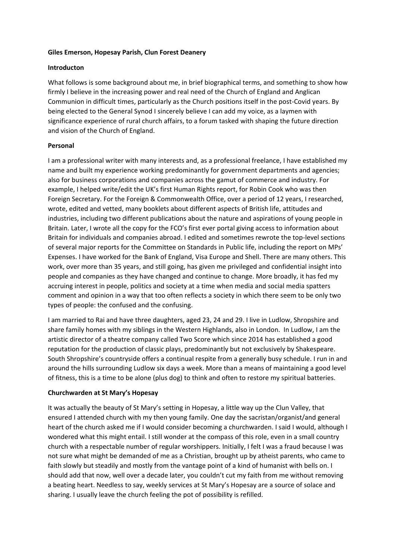## **Giles Emerson, Hopesay Parish, Clun Forest Deanery**

## **Introducton**

What follows is some background about me, in brief biographical terms, and something to show how firmly I believe in the increasing power and real need of the Church of England and Anglican Communion in difficult times, particularly as the Church positions itself in the post-Covid years. By being elected to the General Synod I sincerely believe I can add my voice, as a laymen with significance experience of rural church affairs, to a forum tasked with shaping the future direction and vision of the Church of England.

# **Personal**

I am a professional writer with many interests and, as a professional freelance, I have established my name and built my experience working predominantly for government departments and agencies; also for business corporations and companies across the gamut of commerce and industry. For example, I helped write/edit the UK's first Human Rights report, for Robin Cook who was then Foreign Secretary. For the Foreign & Commonwealth Office, over a period of 12 years, I researched, wrote, edited and vetted, many booklets about different aspects of British life, attitudes and industries, including two different publications about the nature and aspirations of young people in Britain. Later, I wrote all the copy for the FCO's first ever portal giving access to information about Britain for individuals and companies abroad. I edited and sometimes rewrote the top-level sections of several major reports for the Committee on Standards in Public life, including the report on MPs' Expenses. I have worked for the Bank of England, Visa Europe and Shell. There are many others. This work, over more than 35 years, and still going, has given me privileged and confidential insight into people and companies as they have changed and continue to change. More broadly, it has fed my accruing interest in people, politics and society at a time when media and social media spatters comment and opinion in a way that too often reflects a society in which there seem to be only two types of people: the confused and the confusing.

I am married to Rai and have three daughters, aged 23, 24 and 29. I live in Ludlow, Shropshire and share family homes with my siblings in the Western Highlands, also in London. In Ludlow, I am the artistic director of a theatre company called Two Score which since 2014 has established a good reputation for the production of classic plays, predominantly but not exclusively by Shakespeare. South Shropshire's countryside offers a continual respite from a generally busy schedule. I run in and around the hills surrounding Ludlow six days a week. More than a means of maintaining a good level of fitness, this is a time to be alone (plus dog) to think and often to restore my spiritual batteries.

# **Churchwarden at St Mary's Hopesay**

It was actually the beauty of St Mary's setting in Hopesay, a little way up the Clun Valley, that ensured I attended church with my then young family. One day the sacristan/organist/and general heart of the church asked me if I would consider becoming a churchwarden. I said I would, although I wondered what this might entail. I still wonder at the compass of this role, even in a small country church with a respectable number of regular worshippers. Initially, I felt I was a fraud because I was not sure what might be demanded of me as a Christian, brought up by atheist parents, who came to faith slowly but steadily and mostly from the vantage point of a kind of humanist with bells on. I should add that now, well over a decade later, you couldn't cut my faith from me without removing a beating heart. Needless to say, weekly services at St Mary's Hopesay are a source of solace and sharing. I usually leave the church feeling the pot of possibility is refilled.